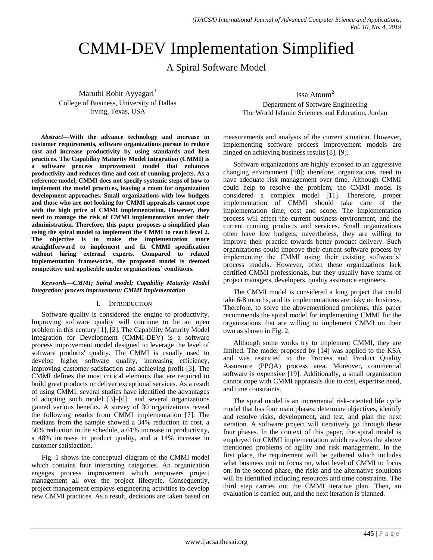# CMMI-DEV Implementation Simplified

A Spiral Software Model

Maruthi Rohit Ayyagari<sup>1</sup> College of Business, University of Dallas Irving, Texas, USA

*Abstract—***With the advance technology and increase in customer requirements, software organizations pursue to reduce cost and increase productivity by using standards and best practices. The Capability Maturity Model Integration (CMMI) is a software process improvement model that enhances productivity and reduces time and cost of running projects. As a reference model, CMMI does not specify systemic steps of how to implement the model practices, leaving a room for organization development approaches. Small organizations with low budgets and those who are not looking for CMMI appraisals cannot cope with the high price of CMMI implementation. However, they need to manage the risk of CMMI implementation under their administration. Therefore, this paper proposes a simplified plan using the spiral model to implement the CMMI to reach level 2. The objective is to make the implementation more straightforward to implement and fit CMMI specification without hiring external experts. Compared to related implementation frameworks, the proposed model is deemed competitive and applicable under organizations' conditions.**

## *Keywords—CMMI; Spiral model; Capability Maturity Model Integration; process improvement; CMMI Implementation*

# I. INTRODUCTION

Software quality is considered the engine to productivity. Improving software quality will continue to be an open problem in this century [1], [2]. The Capability Maturity Model Integration for Development (CMMI-DEV) is a software process improvement model designed to leverage the level of software products' quality. The CMMI is usually used to develop higher software quality, increasing efficiency, improving customer satisfaction and achieving profit [3]. The CMMI defines the most critical elements that are required to build great products or deliver exceptional services. As a result of using CMMI, several studies have identified the advantages of adopting such model [3]–[6] and several organizations gained various benefits. A survey of 30 organizations reveal the following results from CMMI implementation [7]. The medians from the sample showed a 34% reduction in cost, a 50% reduction in the schedule, a 61% increase in productivity, a 48% increase in product quality, and a 14% increase in customer satisfaction.

Fig. 1 shows the conceptual diagram of the CMMI model which contains four interacting categories. An organization engages process improvement which empowers project management all over the project lifecycle. Consequently, project management employs engineering activities to develop new CMMI practices. As a result, decisions are taken based on Issa Atoum<sup>2</sup>

Department of Software Engineering The World Islamic Sciences and Education, Jordan

measurements and analysis of the current situation. However, implementing software process improvement models are hinged on achieving business results [8], [9].

Software organizations are highly exposed to an aggressive changing environment [10]; therefore, organizations need to have adequate risk management over time. Although CMMI could help to resolve the problem, the CMMI model is considered a complex model [11]. Therefore, proper implementation of CMMI should take care of the implementation time, cost and scope. The implementation process will affect the current business environment, and the current running products and services. Small organizations often have low budgets; nevertheless, they are willing to improve their practice towards better product delivery. Such organizations could improve their current software process by implementing the CMMI using their existing software's' process models. However, often these organizations lack certified CMMI professionals, but they usually have teams of project managers, developers, quality assurance engineers.

The CMMI model is considered a long project that could take 6-8 months, and its implementations are risky on business. Therefore, to solve the abovementioned problems, this paper recommends the spiral model for implementing CMMI for the organizations that are willing to implement CMMI on their own as shown in Fig. 2.

Although some works try to implement CMMI, they are limited. The model proposed by [14] was applied to the KSA and was restricted to the Process and Product Quality Assurance (PPQA) process area. Moreover, commercial software is expensive [19]. Additionally, a small organization cannot cope with CMMI appraisals due to cost, expertise need, and time constraints.

The spiral model is an incremental risk-oriented life cycle model that has four main phases: determine objectives, identify and resolve risks, development, and test, and plan the next iteration. A software project will iteratively go through these four phases. In the context of this paper, the spiral model is employed for CMMI implementation which resolves the above mentioned problems of agility and risk management. In the first place, the requirement will be gathered which includes what business unit to focus on, what level of CMMI to focus on. In the second phase, the risks and the alternative solutions will be identified including resources and time constraints. The third step carries out the CMMI iterative plan. Then, an evaluation is carried out, and the next iteration is planned.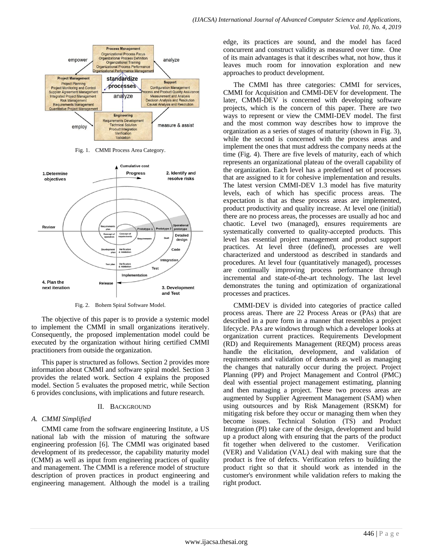

Fig. 1. CMMI Process Area Category.



Fig. 2. Bohem Spiral Software Model.

The objective of this paper is to provide a systemic model to implement the CMMI in small organizations iteratively. Consequently, the proposed implementation model could be executed by the organization without hiring certified CMMI practitioners from outside the organization.

This paper is structured as follows. Section 2 provides more information about CMMI and software spiral model. Section 3 provides the related work. Section 4 explains the proposed model. Section 5 evaluates the proposed metric, while Section 6 provides conclusions, with implications and future research.

## II. BACKGROUND

# *A. CMMI Simplified*

CMMI came from the software engineering Institute, a US national lab with the mission of maturing the software engineering profession [6]. The CMMI was originated based development of its predecessor, the capability maturity model (CMM) as well as input from engineering practices of quality and management. The CMMI is a reference model of structure description of proven practices in product engineering and engineering management. Although the model is a trailing edge, its practices are sound, and the model has faced concurrent and construct validity as measured over time. One of its main advantages is that it describes what, not how, thus it leaves much room for innovation exploration and new approaches to product development.

The CMMI has three categories: CMMI for services, CMMI for Acquisition and CMMI-DEV for development. The later, CMMI-DEV is concerned with developing software projects, which is the concern of this paper. There are two ways to represent or view the CMMI-DEV model. The first and the most common way describes how to improve the organization as a series of stages of maturity (shown in Fig. 3), while the second is concerned with the process areas and implement the ones that must address the company needs at the time (Fig. 4). There are five levels of maturity, each of which represents an organizational plateau of the overall capability of the organization. Each level has a predefined set of processes that are assigned to it for cohesive implementation and results. The latest version CMMI-DEV 1.3 model has five maturity levels, each of which has specific process areas. The expectation is that as these process areas are implemented, product productivity and quality increase. At level one (initial) there are no process areas, the processes are usually ad hoc and chaotic. Level two (managed), ensures requirements are systematically converted to quality-accepted products. This level has essential project management and product support practices. At level three (defined), processes are well characterized and understood as described in standards and procedures. At level four (quantitatively managed), processes are continually improving process performance through incremental and state-of-the-art technology. The last level demonstrates the tuning and optimization of organizational processes and practices.

CMMI-DEV is divided into categories of practice called process areas. There are 22 Process Areas or (PAs) that are described in a pure form in a manner that resembles a project lifecycle. PAs are windows through which a developer looks at organization current practices. Requirements Development (RD) and Requirements Management (REQM) process areas handle the elicitation, development, and validation of requirements and validation of demands as well as managing the changes that naturally occur during the project. Project Planning (PP) and Project Management and Control (PMC) deal with essential project management estimating, planning and then managing a project. These two process areas are augmented by Supplier Agreement Management (SAM) when using outsources and by Risk Management (RSKM) for mitigating risk before they occur or managing them when they become issues. Technical Solution (TS) and Product Integration (PI) take care of the design, development and build up a product along with ensuring that the parts of the product fit together when delivered to the customer. Verification (VER) and Validation (VAL) deal with making sure that the product is free of defects. Verification refers to building the product right so that it should work as intended in the customer's environment while validation refers to making the right product.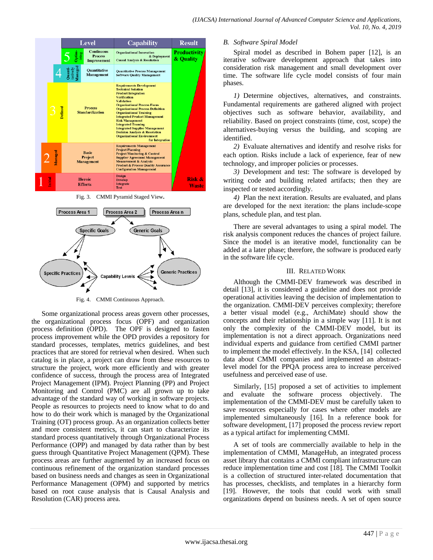

Fig. 3. CMMI Pyramid Staged View**.**



Fig. 4. CMMI Continuous Approach.

Some organizational process areas govern other processes, the organizational process focus (OPF) and organization process definition (OPD). The OPF is designed to fasten process improvement while the OPD provides a repository for standard processes, templates, metrics guidelines, and best practices that are stored for retrieval when desired. When such catalog is in place, a project can draw from these resources to structure the project, work more efficiently and with greater confidence of success, through the process area of Integrated Project Management (IPM). Project Planning (PP) and Project Monitoring and Control (PMC) are all grown up to take advantage of the standard way of working in software projects. People as resources to projects need to know what to do and how to do their work which is managed by the Organizational Training (OT) process group. As an organization collects better and more consistent metrics, it can start to characterize its standard process quantitatively through Organizational Process Performance (OPP) and managed by data rather than by best guess through Quantitative Project Management (QPM). These process areas are further augmented by an increased focus on continuous refinement of the organization standard processes based on business needs and changes as seen in Organizational Performance Management (OPM) and supported by metrics based on root cause analysis that is Causal Analysis and Resolution (CAR) process area.

#### *B. Software Spiral Model*

Spiral model as described in Bohem paper [12], is an iterative software development approach that takes into consideration risk management and small development over time. The software life cycle model consists of four main phases.

*1)* Determine objectives, alternatives, and constraints. Fundamental requirements are gathered aligned with project objectives such as software behavior, availability, and reliability. Based on project constraints (time, cost, scope) the alternatives-buying versus the building, and scoping are identified.

*2)* Evaluate alternatives and identify and resolve risks for each option. Risks include a lack of experience, fear of new technology, and improper policies or processes.

*3)* Development and test: The software is developed by writing code and building related artifacts; then they are inspected or tested accordingly.

*4)* Plan the next iteration. Results are evaluated, and plans are developed for the next iteration: the plans include-scope plans, schedule plan, and test plan.

There are several advantages to using a spiral model. The risk analysis component reduces the chances of project failure. Since the model is an iterative model, functionality can be added at a later phase; therefore, the software is produced early in the software life cycle.

#### III. RELATED WORK

Although the CMMI-DEV framework was described in detail [13], it is considered a guideline and does not provide operational activities leaving the decision of implementation to the organization. CMMI-DEV perceives complexity; therefore a better visual model (e.g., ArchiMate) should show the concepts and their relationship in a simple way [11]. It is not only the complexity of the CMMI-DEV model, but its implementation is not a direct approach. Organizations need individual experts and guidance from certified CMMI partner to implement the model effectively. In the KSA, [14] collected data about CMMI companies and implemented an abstractlevel model for the PPQA process area to increase perceived usefulness and perceived ease of use.

Similarly, [15] proposed a set of activities to implement and evaluate the software process objectively. The implementation of the CMMI-DEV must be carefully taken to save resources especially for cases where other models are implemented simultaneously [16]. In a reference book for software development, [17] proposed the process review report as a typical artifact for implementing CMMI.

A set of tools are commercially available to help in the implementation of CMMI, ManageHub, an integrated process asset library that contains a CMMI compliant infrastructure can reduce implementation time and cost [18]. The CMMI Toolkit is a collection of structured inter-related documentation that has processes, checklists, and templates in a hierarchy form [19]. However, the tools that could work with small organizations depend on business needs. A set of open source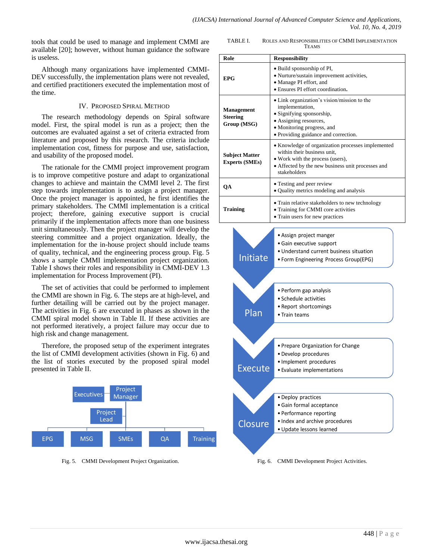tools that could be used to manage and implement CMMI are available [20]; however, without human guidance the software is useless.

Although many organizations have implemented CMMI-DEV successfully, the implementation plans were not revealed, and certified practitioners executed the implementation most of the time.

## IV. PROPOSED SPIRAL METHOD

The research methodology depends on Spiral software model. First, the spiral model is run as a project; then the outcomes are evaluated against a set of criteria extracted from literature and proposed by this research. The criteria include implementation cost, fitness for purpose and use, satisfaction, and usability of the proposed model.

The rationale for the CMMI project improvement program is to improve competitive posture and adapt to organizational changes to achieve and maintain the CMMI level 2. The first step towards implementation is to assign a project manager. Once the project manager is appointed, he first identifies the primary stakeholders. The CMMI implementation is a critical project; therefore, gaining executive support is crucial primarily if the implementation affects more than one business unit simultaneously. Then the project manager will develop the steering committee and a project organization. Ideally, the implementation for the in-house project should include teams of quality, technical, and the engineering process group. Fig. 5 shows a sample CMMI implementation project organization. Table I shows their roles and responsibility in CMMI-DEV 1.3 implementation for Process Improvement (PI).

The set of activities that could be performed to implement the CMMI are shown in Fig. 6. The steps are at high-level, and further detailing will be carried out by the project manager. The activities in Fig. 6 are executed in phases as shown in the CMMI spiral model shown in Table II. If these activities are not performed iteratively, a project failure may occur due to high risk and change management.

Therefore, the proposed setup of the experiment integrates the list of CMMI development activities (shown in Fig. 6) and the list of stories executed by the proposed spiral model presented in Table II.



Fig. 5. CMMI Development Project Organization.

TABLE I. ROLES AND RESPONSIBILITIES OF CMMI IMPLEMENTATION **TEAMS** 

| Role                   |                       | <b>Responsibility</b>                                                                 |  |  |
|------------------------|-----------------------|---------------------------------------------------------------------------------------|--|--|
| <b>EPG</b>             |                       | • Build sponsorship of PI,                                                            |  |  |
|                        |                       | • Nurture/sustain improvement activities,                                             |  |  |
|                        |                       | • Manage PI effort, and                                                               |  |  |
|                        |                       | • Ensures PI effort coordination.                                                     |  |  |
| Management<br>Steering |                       | • Link organization's vision/mission to the                                           |  |  |
|                        |                       | implementation,<br>· Signifying sponsorship,                                          |  |  |
|                        |                       | • Assigning resources,                                                                |  |  |
|                        | Group (MSG)           | • Monitoring progress, and                                                            |  |  |
|                        |                       | · Providing guidance and correction.                                                  |  |  |
| <b>Subject Matter</b>  |                       | • Knowledge of organization processes implemented                                     |  |  |
|                        |                       | within their business unit,                                                           |  |  |
|                        | <b>Experts (SMEs)</b> | • Work with the process (users),<br>• Affected by the new business unit processes and |  |  |
|                        |                       | stakeholders                                                                          |  |  |
| QA                     |                       | • Testing and peer review                                                             |  |  |
|                        |                       | • Quality metrics modeling and analysis                                               |  |  |
|                        |                       | · Train relative stakeholders to new technology                                       |  |  |
| <b>Training</b>        |                       | • Training for CMMI core activities                                                   |  |  |
|                        |                       | • Train users for new practices                                                       |  |  |
|                        |                       |                                                                                       |  |  |
|                        |                       | • Assign project manger                                                               |  |  |
|                        |                       | • Gain executive support<br>• Understand current business situation                   |  |  |
|                        | Initiate              | • Form Engineering Process Group(EPG)                                                 |  |  |
|                        |                       |                                                                                       |  |  |
|                        |                       |                                                                                       |  |  |
|                        |                       |                                                                                       |  |  |
|                        |                       | • Perform gap analysis                                                                |  |  |
|                        |                       | • Schedule activities                                                                 |  |  |
|                        | Plan                  | • Report shortcomings<br>• Train teams                                                |  |  |
|                        |                       |                                                                                       |  |  |
|                        |                       |                                                                                       |  |  |
|                        |                       | • Prepare Organization for Change                                                     |  |  |
|                        |                       | • Develop procedures                                                                  |  |  |
|                        |                       | · Implement procedures                                                                |  |  |
|                        | <u>Execute</u>        | · Evaluate implementations                                                            |  |  |
|                        |                       |                                                                                       |  |  |
|                        |                       |                                                                                       |  |  |
|                        |                       | • Deploy practices                                                                    |  |  |
|                        |                       | · Gain formal acceptance                                                              |  |  |
|                        |                       | • Performance reporting                                                               |  |  |
|                        | Closure               | • Index and archive procedures                                                        |  |  |
|                        |                       | · Update lessons learned                                                              |  |  |
|                        |                       |                                                                                       |  |  |
|                        |                       |                                                                                       |  |  |
|                        | Fig. 6.               | CMMI Development Project Activities.                                                  |  |  |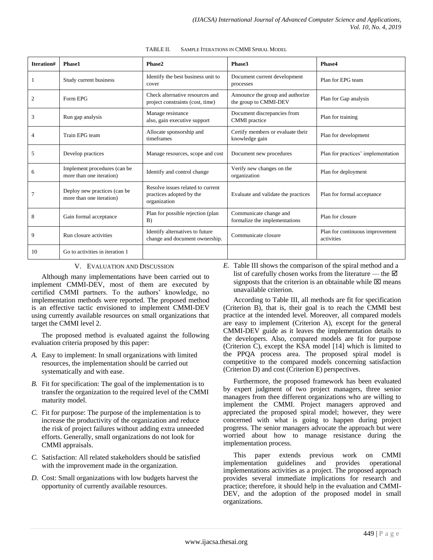| Iteration# | Phase1                                                   | Phase2                                                                        | Phase3                                                    | Phase4                                        |  |
|------------|----------------------------------------------------------|-------------------------------------------------------------------------------|-----------------------------------------------------------|-----------------------------------------------|--|
|            | Study current business                                   | Identify the best business unit to<br>cover                                   | Document current development<br>processes                 | Plan for EPG team                             |  |
| 2          | Form EPG                                                 | Check alternative resources and<br>project constraints (cost, time)           | Announce the group and authorize<br>the group to CMMI-DEV | Plan for Gap analysis                         |  |
| 3          | Run gap analysis                                         | Manage resistance<br>also, gain executive support                             | Document discrepancies from<br><b>CMMI</b> practice       | Plan for training                             |  |
|            | Train EPG team                                           | Allocate sponsorship and<br>timeframes                                        | Certify members or evaluate their<br>knowledge gain       | Plan for development                          |  |
| 5          | Develop practices                                        | Manage resources, scope and cost                                              | Document new procedures                                   | Plan for practices' implementation            |  |
| 6          | Implement procedures (can be<br>more than one iteration) | Identify and control change                                                   | Verify new changes on the<br>organization                 | Plan for deployment                           |  |
|            | Deploy new practices (can be<br>more than one iteration) | Resolve issues related to current<br>practices adopted by the<br>organization | Evaluate and validate the practices                       | Plan for formal acceptance                    |  |
| 8          | Gain formal acceptance                                   | Plan for possible rejection (plan<br>B)                                       | Communicate change and<br>formalize the implementations   | Plan for closure                              |  |
| 9          | Run closure activities                                   | Identify alternatives to future<br>change and document ownership.             | Communicate closure                                       | Plan for continuous improvement<br>activities |  |
| 10         | Go to activities in iteration 1                          |                                                                               |                                                           |                                               |  |

TABLE II. SAMPLE ITERATIONS IN CMMI SPIRAL MODEL

## V. EVALUATION AND DISCUSSION

Although many implementations have been carried out to implement CMMI-DEV, most of them are executed by certified CMMI partners. To the authors' knowledge, no implementation methods were reported. The proposed method is an effective tactic envisioned to implement CMMI-DEV using currently available resources on small organizations that target the CMMI level 2.

The proposed method is evaluated against the following evaluation criteria proposed by this paper:

- *A.* Easy to implement: In small organizations with limited resources, the implementation should be carried out systematically and with ease.
- *B.* Fit for specification: The goal of the implementation is to transfer the organization to the required level of the CMMI maturity model.
- *C.* Fit for purpose: The purpose of the implementation is to increase the productivity of the organization and reduce the risk of project failures without adding extra unneeded efforts. Generally, small organizations do not look for CMMI appraisals.
- *C.* Satisfaction: All related stakeholders should be satisfied with the improvement made in the organization.
- *D.* Cost: Small organizations with low budgets harvest the opportunity of currently available resources.

*E.* Table III shows the comparison of the spiral method and a list of carefully chosen works from the literature — the  $\boxtimes$ signposts that the criterion is an obtainable while  $\boxtimes$  means unavailable criterion.

According to Table III, all methods are fit for specification (Criterion B), that is, their goal is to reach the CMMI best practice at the intended level. Moreover, all compared models are easy to implement (Criterion A), except for the general CMMI-DEV guide as it leaves the implementation details to the developers. Also, compared models are fit for purpose (Criterion C), except the KSA model [14] which is limited to the PPQA process area. The proposed spiral model is competitive to the compared models concerning satisfaction (Criterion D) and cost (Criterion E) perspectives.

Furthermore, the proposed framework has been evaluated by expert judgment of two project managers, three senior managers from thee different organizations who are willing to implement the CMMI. Project managers approved and appreciated the proposed spiral model; however, they were concerned with what is going to happen during project progress. The senior managers advocate the approach but were worried about how to manage resistance during the implementation process.

This paper extends previous work on CMMI implementation guidelines and provides operational implementations activities as a project. The proposed approach provides several immediate implications for research and practice; therefore, it should help in the evaluation and CMMI-DEV, and the adoption of the proposed model in small organizations.